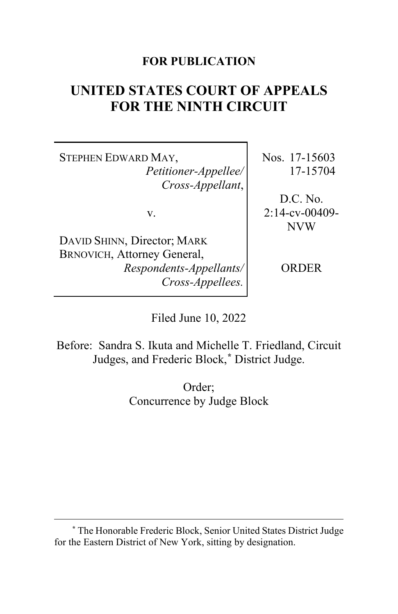### **FOR PUBLICATION**

# **UNITED STATES COURT OF APPEALS FOR THE NINTH CIRCUIT**

STEPHEN EDWARD MAY, *Petitioner-Appellee/ Cross-Appellant*,

v.

DAVID SHINN, Director; MARK BRNOVICH, Attorney General, *Respondents-Appellants/ Cross-Appellees.*

Nos. 17-15603 17-15704

D.C. No. 2:14-cv-00409- NVW

ORDER

Filed June 10, 2022

Before: Sandra S. Ikuta and Michelle T. Friedland, Circuit Judges, and Frederic Block,**[\\*](#page-0-0)** District Judge.

> Order; Concurrence by Judge Block

<span id="page-0-0"></span>**<sup>\*</sup>** The Honorable Frederic Block, Senior United States District Judge for the Eastern District of New York, sitting by designation.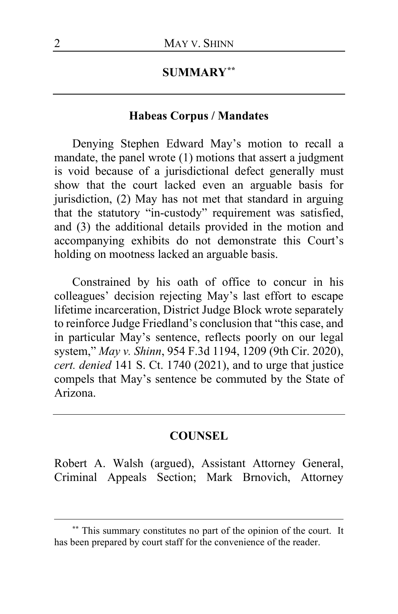### **SUMMARY[\\*\\*](#page-1-0)**

### **Habeas Corpus / Mandates**

Denying Stephen Edward May's motion to recall a mandate, the panel wrote (1) motions that assert a judgment is void because of a jurisdictional defect generally must show that the court lacked even an arguable basis for jurisdiction, (2) May has not met that standard in arguing that the statutory "in-custody" requirement was satisfied, and (3) the additional details provided in the motion and accompanying exhibits do not demonstrate this Court's holding on mootness lacked an arguable basis.

Constrained by his oath of office to concur in his colleagues' decision rejecting May's last effort to escape lifetime incarceration, District Judge Block wrote separately to reinforce Judge Friedland's conclusion that "this case, and in particular May's sentence, reflects poorly on our legal system," *May v. Shinn*, 954 F.3d 1194, 1209 (9th Cir. 2020), *cert. denied* 141 S. Ct. 1740 (2021), and to urge that justice compels that May's sentence be commuted by the State of Arizona.

#### **COUNSEL**

Robert A. Walsh (argued), Assistant Attorney General, Criminal Appeals Section; Mark Brnovich, Attorney

<span id="page-1-0"></span>**<sup>\*\*</sup>** This summary constitutes no part of the opinion of the court. It has been prepared by court staff for the convenience of the reader.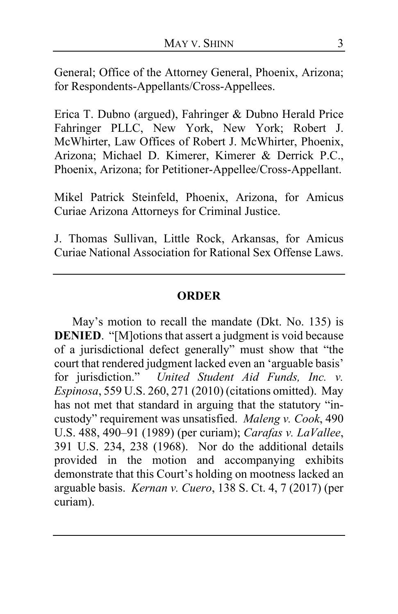General; Office of the Attorney General, Phoenix, Arizona; for Respondents-Appellants/Cross-Appellees.

Erica T. Dubno (argued), Fahringer & Dubno Herald Price Fahringer PLLC, New York, New York; Robert J. McWhirter, Law Offices of Robert J. McWhirter, Phoenix, Arizona; Michael D. Kimerer, Kimerer & Derrick P.C., Phoenix, Arizona; for Petitioner-Appellee/Cross-Appellant.

Mikel Patrick Steinfeld, Phoenix, Arizona, for Amicus Curiae Arizona Attorneys for Criminal Justice.

J. Thomas Sullivan, Little Rock, Arkansas, for Amicus Curiae National Association for Rational Sex Offense Laws.

### **ORDER**

May's motion to recall the mandate (Dkt. No. 135) is **DENIED.** "[M]otions that assert a judgment is void because of a jurisdictional defect generally" must show that "the court that rendered judgment lacked even an 'arguable basis' for jurisdiction." *United Student Aid Funds, Inc. v. Espinosa*, 559 U.S. 260, 271 (2010) (citations omitted). May has not met that standard in arguing that the statutory "incustody" requirement was unsatisfied. *Maleng v. Cook*, 490 U.S. 488, 490–91 (1989) (per curiam); *Carafas v. LaVallee*, 391 U.S. 234, 238 (1968). Nor do the additional details provided in the motion and accompanying exhibits demonstrate that this Court's holding on mootness lacked an arguable basis. *Kernan v. Cuero*, 138 S. Ct. 4, 7 (2017) (per curiam).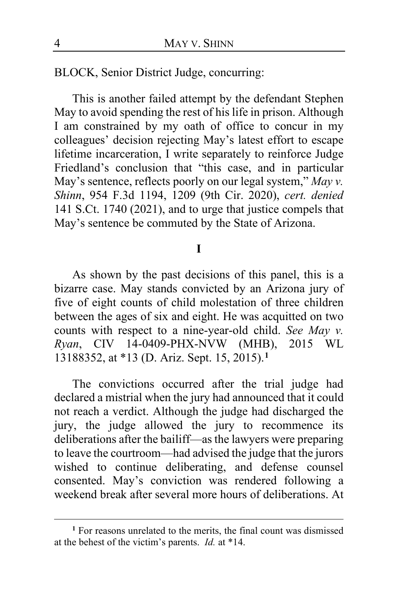BLOCK, Senior District Judge, concurring:

This is another failed attempt by the defendant Stephen May to avoid spending the rest of his life in prison. Although I am constrained by my oath of office to concur in my colleagues' decision rejecting May's latest effort to escape lifetime incarceration, I write separately to reinforce Judge Friedland's conclusion that "this case, and in particular May's sentence, reflects poorly on our legal system," *May v. Shinn*, 954 F.3d 1194, 1209 (9th Cir. 2020), *cert. denied* 141 S.Ct. 1740 (2021), and to urge that justice compels that May's sentence be commuted by the State of Arizona.

#### **I**

As shown by the past decisions of this panel, this is a bizarre case. May stands convicted by an Arizona jury of five of eight counts of child molestation of three children between the ages of six and eight. He was acquitted on two counts with respect to a nine-year-old child. *See May v. Ryan*, CIV 14-0409-PHX-NVW (MHB), 2015 WL 13188352, at \*13 (D. Ariz. Sept. 15, 2015).**[1](#page-3-0)**

The convictions occurred after the trial judge had declared a mistrial when the jury had announced that it could not reach a verdict. Although the judge had discharged the jury, the judge allowed the jury to recommence its deliberations after the bailiff—as the lawyers were preparing to leave the courtroom—had advised the judge that the jurors wished to continue deliberating, and defense counsel consented. May's conviction was rendered following a weekend break after several more hours of deliberations. At

<span id="page-3-0"></span>**<sup>1</sup>** For reasons unrelated to the merits, the final count was dismissed at the behest of the victim's parents. *Id.* at \*14.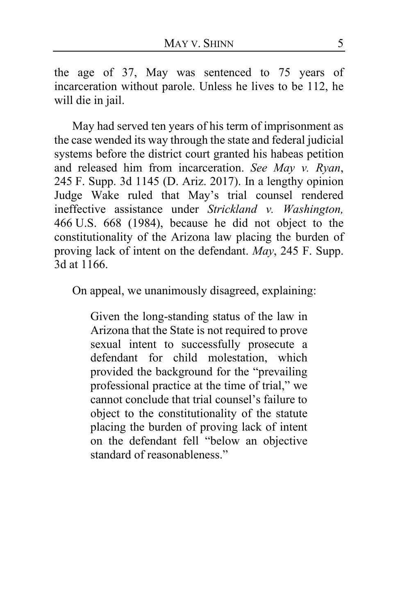the age of 37, May was sentenced to 75 years of incarceration without parole. Unless he lives to be 112, he will die in jail.

May had served ten years of his term of imprisonment as the case wended its way through the state and federal judicial systems before the district court granted his habeas petition and released him from incarceration. *See May v. Ryan*, 245 F. Supp. 3d 1145 (D. Ariz. 2017). In a lengthy opinion Judge Wake ruled that May's trial counsel rendered ineffective assistance under *Strickland v. Washington,* 466 U.S. 668 (1984), because he did not object to the constitutionality of the Arizona law placing the burden of proving lack of intent on the defendant. *May*, 245 F. Supp. 3d at 1166.

On appeal, we unanimously disagreed, explaining:

Given the long-standing status of the law in Arizona that the State is not required to prove sexual intent to successfully prosecute a defendant for child molestation, which provided the background for the "prevailing professional practice at the time of trial," we cannot conclude that trial counsel's failure to object to the constitutionality of the statute placing the burden of proving lack of intent on the defendant fell "below an objective standard of reasonableness."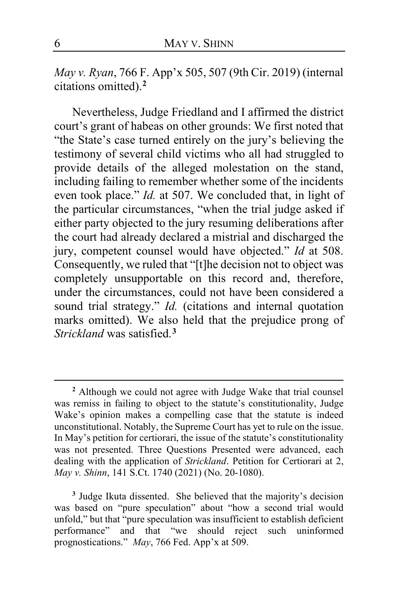*May v. Ryan*, 766 F. App'x 505, 507 (9th Cir. 2019) (internal citations omitted). **[2](#page-5-0)**

Nevertheless, Judge Friedland and I affirmed the district court's grant of habeas on other grounds: We first noted that "the State's case turned entirely on the jury's believing the testimony of several child victims who all had struggled to provide details of the alleged molestation on the stand, including failing to remember whether some of the incidents even took place." *Id.* at 507. We concluded that, in light of the particular circumstances, "when the trial judge asked if either party objected to the jury resuming deliberations after the court had already declared a mistrial and discharged the jury, competent counsel would have objected." *Id* at 508. Consequently, we ruled that "[t]he decision not to object was completely unsupportable on this record and, therefore, under the circumstances, could not have been considered a sound trial strategy." *Id.* (citations and internal quotation marks omitted). We also held that the prejudice prong of *Strickland* was satisfied.**[3](#page-5-1)**

<span id="page-5-0"></span>**<sup>2</sup>** Although we could not agree with Judge Wake that trial counsel was remiss in failing to object to the statute's constitutionality, Judge Wake's opinion makes a compelling case that the statute is indeed unconstitutional. Notably, the Supreme Court has yet to rule on the issue. In May's petition for certiorari, the issue of the statute's constitutionality was not presented. Three Questions Presented were advanced, each dealing with the application of *Strickland*. Petition for Certiorari at 2, *May v. Shinn*, 141 S.Ct. 1740 (2021) (No. 20-1080).

<span id="page-5-1"></span>**<sup>3</sup>** Judge Ikuta dissented. She believed that the majority's decision was based on "pure speculation" about "how a second trial would unfold," but that "pure speculation was insufficient to establish deficient performance" and that "we should reject such uninformed prognostications." *May*, 766 Fed. App'x at 509.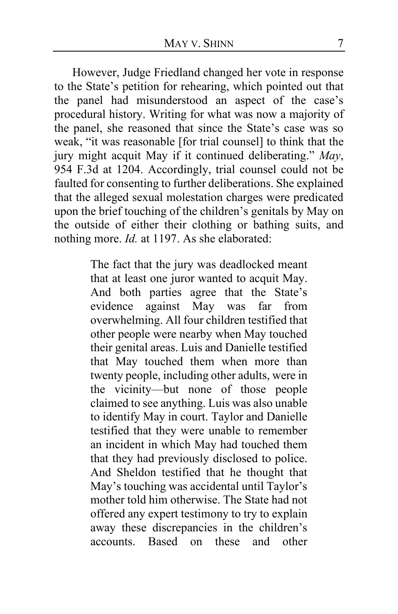However, Judge Friedland changed her vote in response to the State's petition for rehearing, which pointed out that the panel had misunderstood an aspect of the case's procedural history. Writing for what was now a majority of the panel, she reasoned that since the State's case was so weak, "it was reasonable [for trial counsel] to think that the jury might acquit May if it continued deliberating." *May*, 954 F.3d at 1204. Accordingly, trial counsel could not be faulted for consenting to further deliberations. She explained that the alleged sexual molestation charges were predicated upon the brief touching of the children's genitals by May on the outside of either their clothing or bathing suits, and nothing more. *Id.* at 1197. As she elaborated:

> The fact that the jury was deadlocked meant that at least one juror wanted to acquit May. And both parties agree that the State's evidence against May was far from overwhelming. All four children testified that other people were nearby when May touched their genital areas. Luis and Danielle testified that May touched them when more than twenty people, including other adults, were in the vicinity—but none of those people claimed to see anything. Luis was also unable to identify May in court. Taylor and Danielle testified that they were unable to remember an incident in which May had touched them that they had previously disclosed to police. And Sheldon testified that he thought that May's touching was accidental until Taylor's mother told him otherwise. The State had not offered any expert testimony to try to explain away these discrepancies in the children's accounts. Based on these and other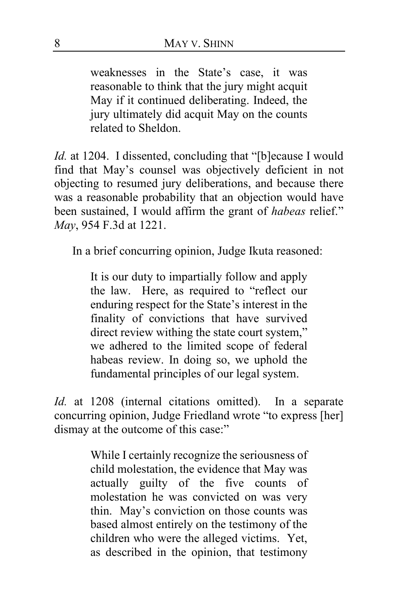weaknesses in the State's case, it was reasonable to think that the jury might acquit May if it continued deliberating. Indeed, the jury ultimately did acquit May on the counts related to Sheldon.

*Id.* at 1204. I dissented, concluding that "[b]ecause I would find that May's counsel was objectively deficient in not objecting to resumed jury deliberations, and because there was a reasonable probability that an objection would have been sustained, I would affirm the grant of *habeas* relief." *May*, 954 F.3d at 1221.

In a brief concurring opinion, Judge Ikuta reasoned:

It is our duty to impartially follow and apply the law. Here, as required to "reflect our enduring respect for the State's interest in the finality of convictions that have survived direct review withing the state court system," we adhered to the limited scope of federal habeas review. In doing so, we uphold the fundamental principles of our legal system.

*Id.* at 1208 (internal citations omitted). In a separate concurring opinion, Judge Friedland wrote "to express [her] dismay at the outcome of this case:"

> While I certainly recognize the seriousness of child molestation, the evidence that May was actually guilty of the five counts of molestation he was convicted on was very thin. May's conviction on those counts was based almost entirely on the testimony of the children who were the alleged victims. Yet, as described in the opinion, that testimony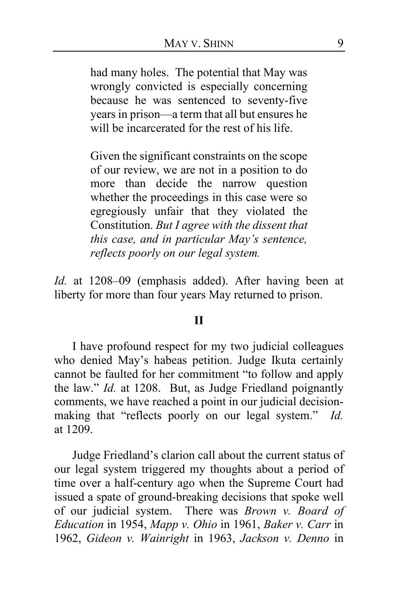had many holes. The potential that May was wrongly convicted is especially concerning because he was sentenced to seventy-five years in prison—a term that all but ensures he will be incarcerated for the rest of his life.

Given the significant constraints on the scope of our review, we are not in a position to do more than decide the narrow question whether the proceedings in this case were so egregiously unfair that they violated the Constitution. *But I agree with the dissent that this case, and in particular May's sentence, reflects poorly on our legal system.*

*Id.* at 1208–09 (emphasis added). After having been at liberty for more than four years May returned to prison.

#### **II**

I have profound respect for my two judicial colleagues who denied May's habeas petition. Judge Ikuta certainly cannot be faulted for her commitment "to follow and apply the law." *Id.* at 1208. But, as Judge Friedland poignantly comments, we have reached a point in our judicial decisionmaking that "reflects poorly on our legal system." *Id.* at 1209.

Judge Friedland's clarion call about the current status of our legal system triggered my thoughts about a period of time over a half-century ago when the Supreme Court had issued a spate of ground-breaking decisions that spoke well of our judicial system. There was *Brown v. Board of Education* in 1954, *Mapp v. Ohio* in 1961, *Baker v. Carr* in 1962, *Gideon v. Wainright* in 1963, *Jackson v. Denno* in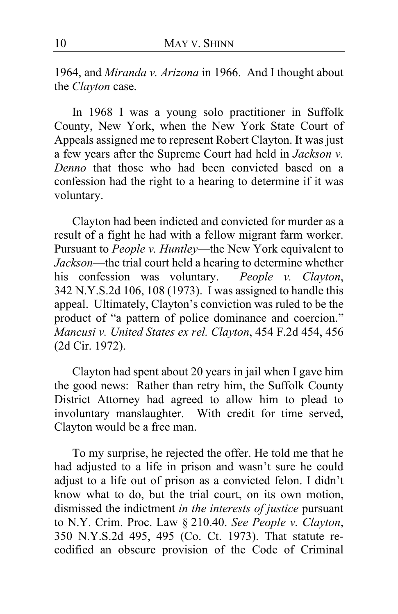1964, and *Miranda v. Arizona* in 1966. And I thought about the *Clayton* case.

In 1968 I was a young solo practitioner in Suffolk County, New York, when the New York State Court of Appeals assigned me to represent Robert Clayton. It was just a few years after the Supreme Court had held in *Jackson v. Denno* that those who had been convicted based on a confession had the right to a hearing to determine if it was voluntary.

Clayton had been indicted and convicted for murder as a result of a fight he had with a fellow migrant farm worker. Pursuant to *People v. Huntley*—the New York equivalent to *Jackson*—the trial court held a hearing to determine whether his confession was voluntary. *People v. Clayton*, 342 N.Y.S.2d 106, 108 (1973). I was assigned to handle this appeal. Ultimately, Clayton's conviction was ruled to be the product of "a pattern of police dominance and coercion." *Mancusi v. United States ex rel. Clayton*, 454 F.2d 454, 456 (2d Cir. 1972).

Clayton had spent about 20 years in jail when I gave him the good news: Rather than retry him, the Suffolk County District Attorney had agreed to allow him to plead to involuntary manslaughter. With credit for time served, Clayton would be a free man.

To my surprise, he rejected the offer. He told me that he had adjusted to a life in prison and wasn't sure he could adjust to a life out of prison as a convicted felon. I didn't know what to do, but the trial court, on its own motion, dismissed the indictment *in the interests of justice* pursuant to N.Y. Crim. Proc. Law § 210.40. *See People v. Clayton*, 350 N.Y.S.2d 495, 495 (Co. Ct. 1973). That statute recodified an obscure provision of the Code of Criminal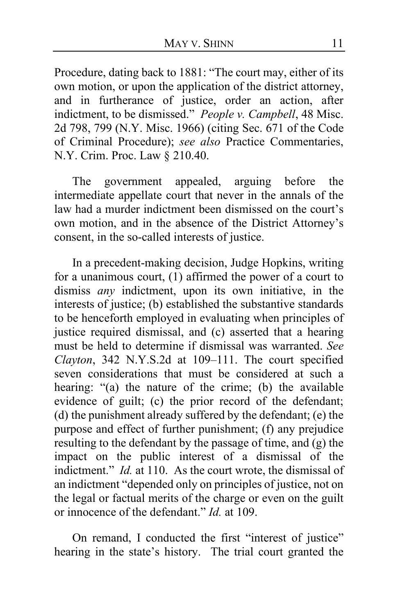Procedure, dating back to 1881: "The court may, either of its own motion, or upon the application of the district attorney, and in furtherance of justice, order an action, after indictment, to be dismissed." *People v. Campbell*, 48 Misc. 2d 798, 799 (N.Y. Misc. 1966) (citing Sec. 671 of the Code of Criminal Procedure); *see also* Practice Commentaries, N.Y. Crim. Proc. Law § 210.40.

The government appealed, arguing before the intermediate appellate court that never in the annals of the law had a murder indictment been dismissed on the court's own motion, and in the absence of the District Attorney's consent, in the so-called interests of justice.

In a precedent-making decision, Judge Hopkins, writing for a unanimous court, (1) affirmed the power of a court to dismiss *any* indictment, upon its own initiative, in the interests of justice; (b) established the substantive standards to be henceforth employed in evaluating when principles of justice required dismissal, and (c) asserted that a hearing must be held to determine if dismissal was warranted. *See Clayton*, 342 N.Y.S.2d at 109–111. The court specified seven considerations that must be considered at such a hearing: "(a) the nature of the crime; (b) the available evidence of guilt; (c) the prior record of the defendant; (d) the punishment already suffered by the defendant; (e) the purpose and effect of further punishment; (f) any prejudice resulting to the defendant by the passage of time, and (g) the impact on the public interest of a dismissal of the indictment." *Id.* at 110. As the court wrote, the dismissal of an indictment "depended only on principles of justice, not on the legal or factual merits of the charge or even on the guilt or innocence of the defendant." *Id.* at 109.

On remand, I conducted the first "interest of justice" hearing in the state's history. The trial court granted the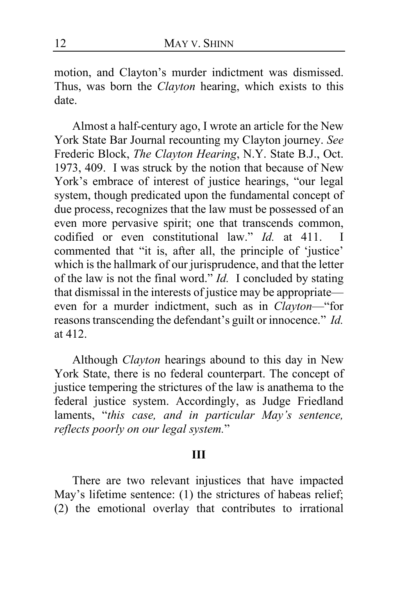motion, and Clayton's murder indictment was dismissed. Thus, was born the *Clayton* hearing, which exists to this date.

Almost a half-century ago, I wrote an article for the New York State Bar Journal recounting my Clayton journey. *See*  Frederic Block, *The Clayton Hearing*, N.Y. State B.J., Oct. 1973, 409. I was struck by the notion that because of New York's embrace of interest of justice hearings, "our legal system, though predicated upon the fundamental concept of due process, recognizes that the law must be possessed of an even more pervasive spirit; one that transcends common, codified or even constitutional law." *Id.* at 411. I commented that "it is, after all, the principle of 'justice' which is the hallmark of our jurisprudence, and that the letter of the law is not the final word." *Id.* I concluded by stating that dismissal in the interests of justice may be appropriate even for a murder indictment, such as in *Clayton*—"for reasons transcending the defendant's guilt or innocence." *Id.* at 412.

Although *Clayton* hearings abound to this day in New York State, there is no federal counterpart. The concept of justice tempering the strictures of the law is anathema to the federal justice system. Accordingly, as Judge Friedland laments, "*this case, and in particular May's sentence, reflects poorly on our legal system.*"

#### **III**

There are two relevant injustices that have impacted May's lifetime sentence: (1) the strictures of habeas relief; (2) the emotional overlay that contributes to irrational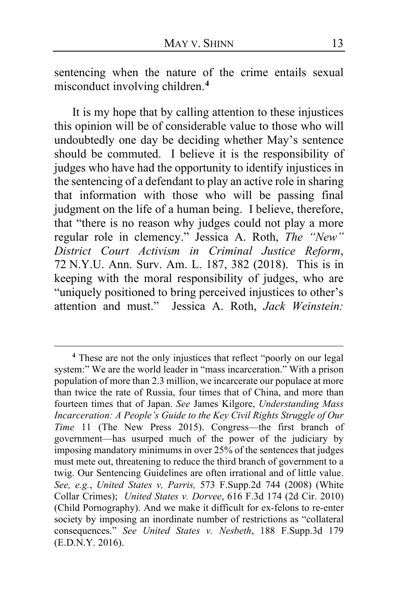sentencing when the nature of the crime entails sexual misconduct involving children. **[4](#page-12-0)**

It is my hope that by calling attention to these injustices this opinion will be of considerable value to those who will undoubtedly one day be deciding whether May's sentence should be commuted. I believe it is the responsibility of judges who have had the opportunity to identify injustices in the sentencing of a defendant to play an active role in sharing that information with those who will be passing final judgment on the life of a human being. I believe, therefore, that "there is no reason why judges could not play a more regular role in clemency." Jessica A. Roth, *The "New" District Court Activism in Criminal Justice Reform*, 72 N.Y.U. Ann. Surv. Am. L. 187, 382 (2018). This is in keeping with the moral responsibility of judges, who are "uniquely positioned to bring perceived injustices to other's attention and must." Jessica A. Roth, *Jack Weinstein:* 

<span id="page-12-0"></span>**<sup>4</sup>** These are not the only injustices that reflect "poorly on our legal system:" We are the world leader in "mass incarceration." With a prison population of more than 2.3 million, we incarcerate our populace at more than twice the rate of Russia, four times that of China, and more than fourteen times that of Japan. *See* James Kilgore, *Understanding Mass Incarceration: A People's Guide to the Key Civil Rights Struggle of Our Time* 11 (The New Press 2015). Congress—the first branch of government—has usurped much of the power of the judiciary by imposing mandatory minimums in over 25% of the sentences that judges must mete out, threatening to reduce the third branch of government to a twig. Our Sentencing Guidelines are often irrational and of little value. *See, e.g.*, *United States v, Parris,* 573 F.Supp.2d 744 (2008) (White Collar Crimes); *United States v. Dorvee*, 616 F.3d 174 (2d Cir. 2010) (Child Pornography). And we make it difficult for ex-felons to re-enter society by imposing an inordinate number of restrictions as "collateral consequences." *See United States v. Nesbeth*, 188 F.Supp.3d 179 (E.D.N.Y. 2016).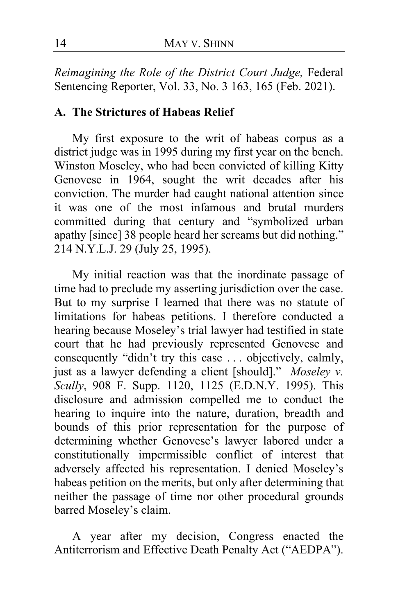*Reimagining the Role of the District Court Judge,* Federal Sentencing Reporter, Vol. 33, No. 3 163, 165 (Feb. 2021).

### **A. The Strictures of Habeas Relief**

My first exposure to the writ of habeas corpus as a district judge was in 1995 during my first year on the bench. Winston Moseley, who had been convicted of killing Kitty Genovese in 1964, sought the writ decades after his conviction. The murder had caught national attention since it was one of the most infamous and brutal murders committed during that century and "symbolized urban apathy [since] 38 people heard her screams but did nothing." 214 N.Y.L.J. 29 (July 25, 1995).

My initial reaction was that the inordinate passage of time had to preclude my asserting jurisdiction over the case. But to my surprise I learned that there was no statute of limitations for habeas petitions. I therefore conducted a hearing because Moseley's trial lawyer had testified in state court that he had previously represented Genovese and consequently "didn't try this case . . . objectively, calmly, just as a lawyer defending a client [should]." *Moseley v. Scully*, 908 F. Supp. 1120, 1125 (E.D.N.Y. 1995). This disclosure and admission compelled me to conduct the hearing to inquire into the nature, duration, breadth and bounds of this prior representation for the purpose of determining whether Genovese's lawyer labored under a constitutionally impermissible conflict of interest that adversely affected his representation. I denied Moseley's habeas petition on the merits, but only after determining that neither the passage of time nor other procedural grounds barred Moseley's claim.

A year after my decision, Congress enacted the Antiterrorism and Effective Death Penalty Act ("AEDPA").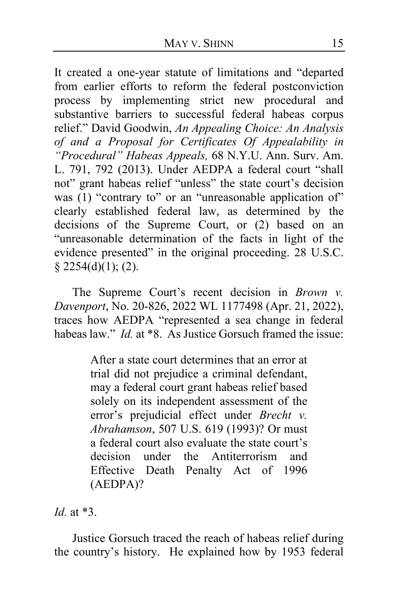It created a one-year statute of limitations and "departed from earlier efforts to reform the federal postconviction process by implementing strict new procedural and substantive barriers to successful federal habeas corpus relief." David Goodwin, *An Appealing Choice: An Analysis of and a Proposal for Certificates Of Appealability in "Procedural" Habeas Appeals,* 68 N.Y.U. Ann. Surv. Am. L. 791, 792 (2013). Under AEDPA a federal court "shall not" grant habeas relief "unless" the state court's decision was (1) "contrary to" or an "unreasonable application of" clearly established federal law, as determined by the decisions of the Supreme Court, or (2) based on an "unreasonable determination of the facts in light of the evidence presented" in the original proceeding. 28 U.S.C.  $§$  2254(d)(1); (2).

The Supreme Court's recent decision in *Brown v. Davenport*, No. 20-826, 2022 WL 1177498 (Apr. 21, 2022), traces how AEDPA "represented a sea change in federal habeas law." *Id.* at \*8. As Justice Gorsuch framed the issue:

> After a state court determines that an error at trial did not prejudice a criminal defendant, may a federal court grant habeas relief based solely on its independent assessment of the error's prejudicial effect under *Brecht v. Abrahamson*, 507 U.S. 619 (1993)? Or must a federal court also evaluate the state court's decision under the Antiterrorism and Effective Death Penalty Act of 1996 (AEDPA)?

*Id.* at \*3.

Justice Gorsuch traced the reach of habeas relief during the country's history. He explained how by 1953 federal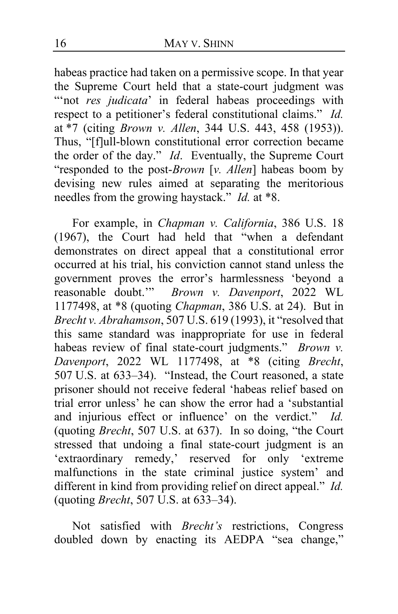habeas practice had taken on a permissive scope. In that year the Supreme Court held that a state-court judgment was "not *res judicata*' in federal habeas proceedings with respect to a petitioner's federal constitutional claims." *Id.*  at \*7 (citing *Brown v. Allen*, 344 U.S. 443, 458 (1953)). Thus, "[f]ull-blown constitutional error correction became the order of the day." *Id*. Eventually, the Supreme Court "responded to the post-*Brown* [*v. Allen*] habeas boom by devising new rules aimed at separating the meritorious needles from the growing haystack." *Id.* at \*8.

For example, in *Chapman v. California*, 386 U.S. 18 (1967), the Court had held that "when a defendant demonstrates on direct appeal that a constitutional error occurred at his trial, his conviction cannot stand unless the government proves the error's harmlessness 'beyond a reasonable doubt.'" *Brown v. Davenport*, 2022 WL 1177498, at \*8 (quoting *Chapman*, 386 U.S. at 24). But in *Brecht v. Abrahamson*, 507 U.S. 619 (1993), it "resolved that this same standard was inappropriate for use in federal habeas review of final state-court judgments." *Brown v. Davenport*, 2022 WL 1177498, at \*8 (citing *Brecht*, 507 U.S. at 633–34). "Instead, the Court reasoned, a state prisoner should not receive federal 'habeas relief based on trial error unless' he can show the error had a 'substantial and injurious effect or influence' on the verdict." *Id.*  (quoting *Brecht*, 507 U.S. at 637). In so doing, "the Court stressed that undoing a final state-court judgment is an 'extraordinary remedy,' reserved for only 'extreme malfunctions in the state criminal justice system' and different in kind from providing relief on direct appeal." *Id.* (quoting *Brecht*, 507 U.S. at 633–34).

Not satisfied with *Brecht's* restrictions, Congress doubled down by enacting its AEDPA "sea change,"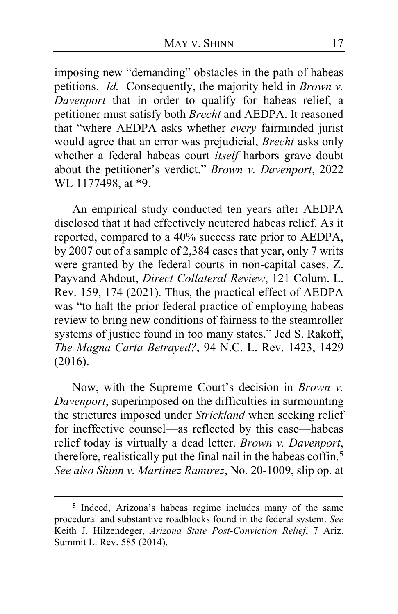imposing new "demanding" obstacles in the path of habeas petitions. *Id.* Consequently, the majority held in *Brown v. Davenport* that in order to qualify for habeas relief, a petitioner must satisfy both *Brecht* and AEDPA. It reasoned that "where AEDPA asks whether *every* fairminded jurist would agree that an error was prejudicial, *Brecht* asks only whether a federal habeas court *itself* harbors grave doubt about the petitioner's verdict." *Brown v. Davenport*, 2022 WL 1177498, at \*9.

An empirical study conducted ten years after AEDPA disclosed that it had effectively neutered habeas relief. As it reported, compared to a 40% success rate prior to AEDPA, by 2007 out of a sample of 2,384 cases that year, only 7 writs were granted by the federal courts in non-capital cases. Z. Payvand Ahdout, *Direct Collateral Review*, 121 Colum. L. Rev. 159, 174 (2021). Thus, the practical effect of AEDPA was "to halt the prior federal practice of employing habeas review to bring new conditions of fairness to the steamroller systems of justice found in too many states." Jed S. Rakoff, *The Magna Carta Betrayed?*, 94 N.C. L. Rev. 1423, 1429 (2016).

Now, with the Supreme Court's decision in *Brown v. Davenport*, superimposed on the difficulties in surmounting the strictures imposed under *Strickland* when seeking relief for ineffective counsel—as reflected by this case—habeas relief today is virtually a dead letter. *Brown v. Davenport*, therefore, realistically put the final nail in the habeas coffin.**[5](#page-16-0)** *See also Shinn v. Martinez Ramirez*, No. 20-1009, slip op. at

<span id="page-16-0"></span>**<sup>5</sup>** Indeed, Arizona's habeas regime includes many of the same procedural and substantive roadblocks found in the federal system. *See* Keith J. Hilzendeger, *Arizona State Post-Conviction Relief*, 7 Ariz. Summit L. Rev. 585 (2014).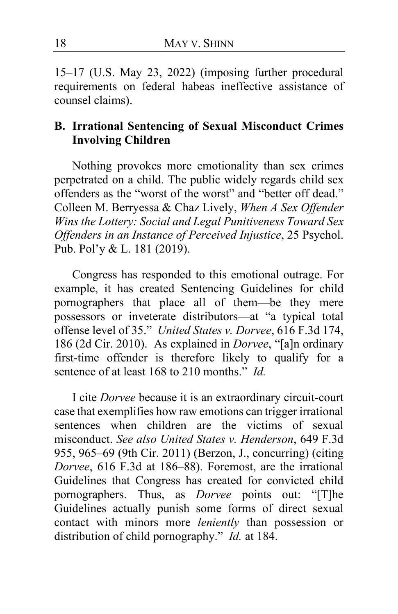15–17 (U.S. May 23, 2022) (imposing further procedural requirements on federal habeas ineffective assistance of counsel claims).

## **B. Irrational Sentencing of Sexual Misconduct Crimes Involving Children**

Nothing provokes more emotionality than sex crimes perpetrated on a child. The public widely regards child sex offenders as the "worst of the worst" and "better off dead." Colleen M. Berryessa & Chaz Lively, *When A Sex Offender Wins the Lottery: Social and Legal Punitiveness Toward Sex Offenders in an Instance of Perceived Injustice*, 25 Psychol. Pub. Pol'y & L. 181 (2019).

Congress has responded to this emotional outrage. For example, it has created Sentencing Guidelines for child pornographers that place all of them—be they mere possessors or inveterate distributors—at "a typical total offense level of 35." *United States v. Dorvee*, 616 F.3d 174, 186 (2d Cir. 2010). As explained in *Dorvee*, "[a]n ordinary first-time offender is therefore likely to qualify for a sentence of at least 168 to 210 months." *Id.*

I cite *Dorvee* because it is an extraordinary circuit-court case that exemplifies how raw emotions can trigger irrational sentences when children are the victims of sexual misconduct. *See also United States v. Henderson*, 649 F.3d 955, 965–69 (9th Cir. 2011) (Berzon, J., concurring) (citing *Dorvee*, 616 F.3d at 186–88). Foremost, are the irrational Guidelines that Congress has created for convicted child pornographers. Thus, as *Dorvee* points out: "[T]he Guidelines actually punish some forms of direct sexual contact with minors more *leniently* than possession or distribution of child pornography." *Id.* at 184.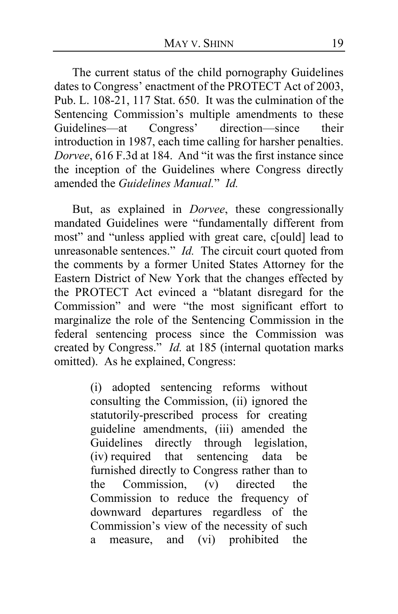The current status of the child pornography Guidelines dates to Congress' enactment of the PROTECT Act of 2003, Pub. L. 108-21, 117 Stat. 650. It was the culmination of the Sentencing Commission's multiple amendments to these Guidelines—at Congress' direction—since their introduction in 1987, each time calling for harsher penalties. *Dorvee*, 616 F.3d at 184. And "it was the first instance since the inception of the Guidelines where Congress directly amended the *Guidelines Manual.*" *Id.*

But, as explained in *Dorvee*, these congressionally mandated Guidelines were "fundamentally different from most" and "unless applied with great care, c[ould] lead to unreasonable sentences." *Id.* The circuit court quoted from the comments by a former United States Attorney for the Eastern District of New York that the changes effected by the PROTECT Act evinced a "blatant disregard for the Commission" and were "the most significant effort to marginalize the role of the Sentencing Commission in the federal sentencing process since the Commission was created by Congress." *Id.* at 185 (internal quotation marks omitted). As he explained, Congress:

> (i) adopted sentencing reforms without consulting the Commission, (ii) ignored the statutorily-prescribed process for creating guideline amendments, (iii) amended the Guidelines directly through legislation, (iv) required that sentencing data be furnished directly to Congress rather than to the Commission, (v) directed the Commission to reduce the frequency of downward departures regardless of the Commission's view of the necessity of such a measure, and (vi) prohibited the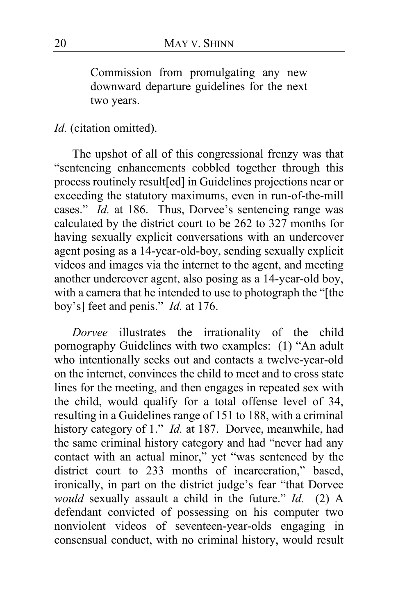Commission from promulgating any new downward departure guidelines for the next two years.

# *Id.* (citation omitted).

The upshot of all of this congressional frenzy was that "sentencing enhancements cobbled together through this process routinely result[ed] in Guidelines projections near or exceeding the statutory maximums, even in run-of-the-mill cases." *Id.* at 186. Thus, Dorvee's sentencing range was calculated by the district court to be 262 to 327 months for having sexually explicit conversations with an undercover agent posing as a 14-year-old-boy, sending sexually explicit videos and images via the internet to the agent, and meeting another undercover agent, also posing as a 14-year-old boy, with a camera that he intended to use to photograph the "[the boy's] feet and penis." *Id.* at 176.

*Dorvee* illustrates the irrationality of the child pornography Guidelines with two examples: (1) "An adult who intentionally seeks out and contacts a twelve-year-old on the internet, convinces the child to meet and to cross state lines for the meeting, and then engages in repeated sex with the child, would qualify for a total offense level of 34, resulting in a Guidelines range of 151 to 188, with a criminal history category of 1." *Id.* at 187. Dorvee, meanwhile, had the same criminal history category and had "never had any contact with an actual minor," yet "was sentenced by the district court to 233 months of incarceration," based, ironically, in part on the district judge's fear "that Dorvee *would* sexually assault a child in the future." *Id.* (2) A defendant convicted of possessing on his computer two nonviolent videos of seventeen-year-olds engaging in consensual conduct, with no criminal history, would result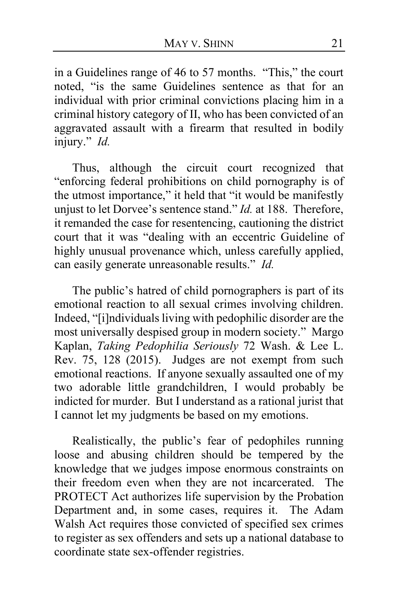in a Guidelines range of 46 to 57 months. "This," the court noted, "is the same Guidelines sentence as that for an individual with prior criminal convictions placing him in a criminal history category of II, who has been convicted of an aggravated assault with a firearm that resulted in bodily injury." *Id.*

Thus, although the circuit court recognized that "enforcing federal prohibitions on child pornography is of the utmost importance," it held that "it would be manifestly unjust to let Dorvee's sentence stand." *Id.* at 188. Therefore, it remanded the case for resentencing, cautioning the district court that it was "dealing with an eccentric Guideline of highly unusual provenance which, unless carefully applied, can easily generate unreasonable results." *Id.*

The public's hatred of child pornographers is part of its emotional reaction to all sexual crimes involving children. Indeed, "[i]ndividuals living with pedophilic disorder are the most universally despised group in modern society." Margo Kaplan, *Taking Pedophilia Seriously* 72 Wash. & Lee L. Rev. 75, 128 (2015). Judges are not exempt from such emotional reactions. If anyone sexually assaulted one of my two adorable little grandchildren, I would probably be indicted for murder. But I understand as a rational jurist that I cannot let my judgments be based on my emotions.

Realistically, the public's fear of pedophiles running loose and abusing children should be tempered by the knowledge that we judges impose enormous constraints on their freedom even when they are not incarcerated. The PROTECT Act authorizes life supervision by the Probation Department and, in some cases, requires it. The Adam Walsh Act requires those convicted of specified sex crimes to register as sex offenders and sets up a national database to coordinate state sex-offender registries.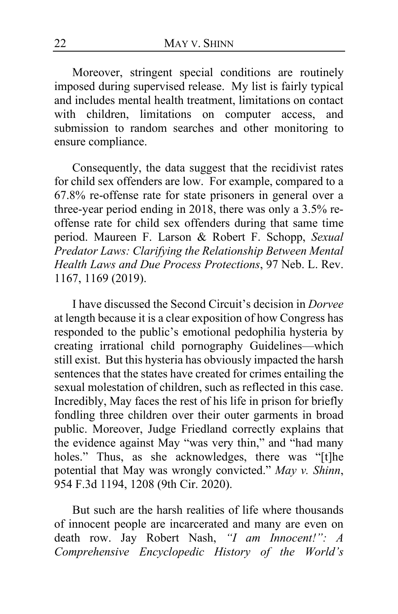Moreover, stringent special conditions are routinely imposed during supervised release. My list is fairly typical and includes mental health treatment, limitations on contact with children, limitations on computer access, and submission to random searches and other monitoring to ensure compliance.

Consequently, the data suggest that the recidivist rates for child sex offenders are low. For example, compared to a 67.8% re-offense rate for state prisoners in general over a three-year period ending in 2018, there was only a 3.5% reoffense rate for child sex offenders during that same time period. Maureen F. Larson & Robert F. Schopp, *Sexual Predator Laws: Clarifying the Relationship Between Mental Health Laws and Due Process Protections*, 97 Neb. L. Rev. 1167, 1169 (2019).

I have discussed the Second Circuit's decision in *Dorvee* at length because it is a clear exposition of how Congress has responded to the public's emotional pedophilia hysteria by creating irrational child pornography Guidelines—which still exist. But this hysteria has obviously impacted the harsh sentences that the states have created for crimes entailing the sexual molestation of children, such as reflected in this case. Incredibly, May faces the rest of his life in prison for briefly fondling three children over their outer garments in broad public. Moreover, Judge Friedland correctly explains that the evidence against May "was very thin," and "had many holes." Thus, as she acknowledges, there was "[t]he potential that May was wrongly convicted." *May v. Shinn*, 954 F.3d 1194, 1208 (9th Cir. 2020).

But such are the harsh realities of life where thousands of innocent people are incarcerated and many are even on death row. Jay Robert Nash, *"I am Innocent!": A Comprehensive Encyclopedic History of the World's*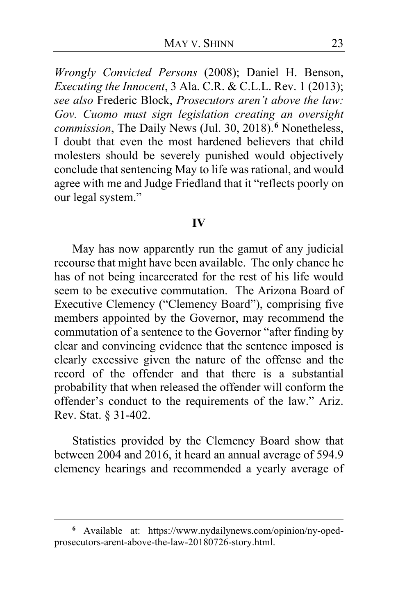*Wrongly Convicted Persons* (2008); Daniel H. Benson, *Executing the Innocent*, 3 Ala. C.R. & C.L.L. Rev. 1 (2013); *see also* Frederic Block, *Prosecutors aren't above the law: Gov. Cuomo must sign legislation creating an oversight commission*, The Daily News (Jul. 30, 2018).**[6](#page-22-0)** Nonetheless, I doubt that even the most hardened believers that child molesters should be severely punished would objectively conclude that sentencing May to life was rational, and would agree with me and Judge Friedland that it "reflects poorly on our legal system."

#### **IV**

May has now apparently run the gamut of any judicial recourse that might have been available. The only chance he has of not being incarcerated for the rest of his life would seem to be executive commutation. The Arizona Board of Executive Clemency ("Clemency Board"), comprising five members appointed by the Governor, may recommend the commutation of a sentence to the Governor "after finding by clear and convincing evidence that the sentence imposed is clearly excessive given the nature of the offense and the record of the offender and that there is a substantial probability that when released the offender will conform the offender's conduct to the requirements of the law." Ariz. Rev. Stat. § 31-402.

Statistics provided by the Clemency Board show that between 2004 and 2016, it heard an annual average of 594.9 clemency hearings and recommended a yearly average of

<span id="page-22-0"></span>**<sup>6</sup>** Available at: https://www.nydailynews.com/opinion/ny-opedprosecutors-arent-above-the-law-20180726-story.html.